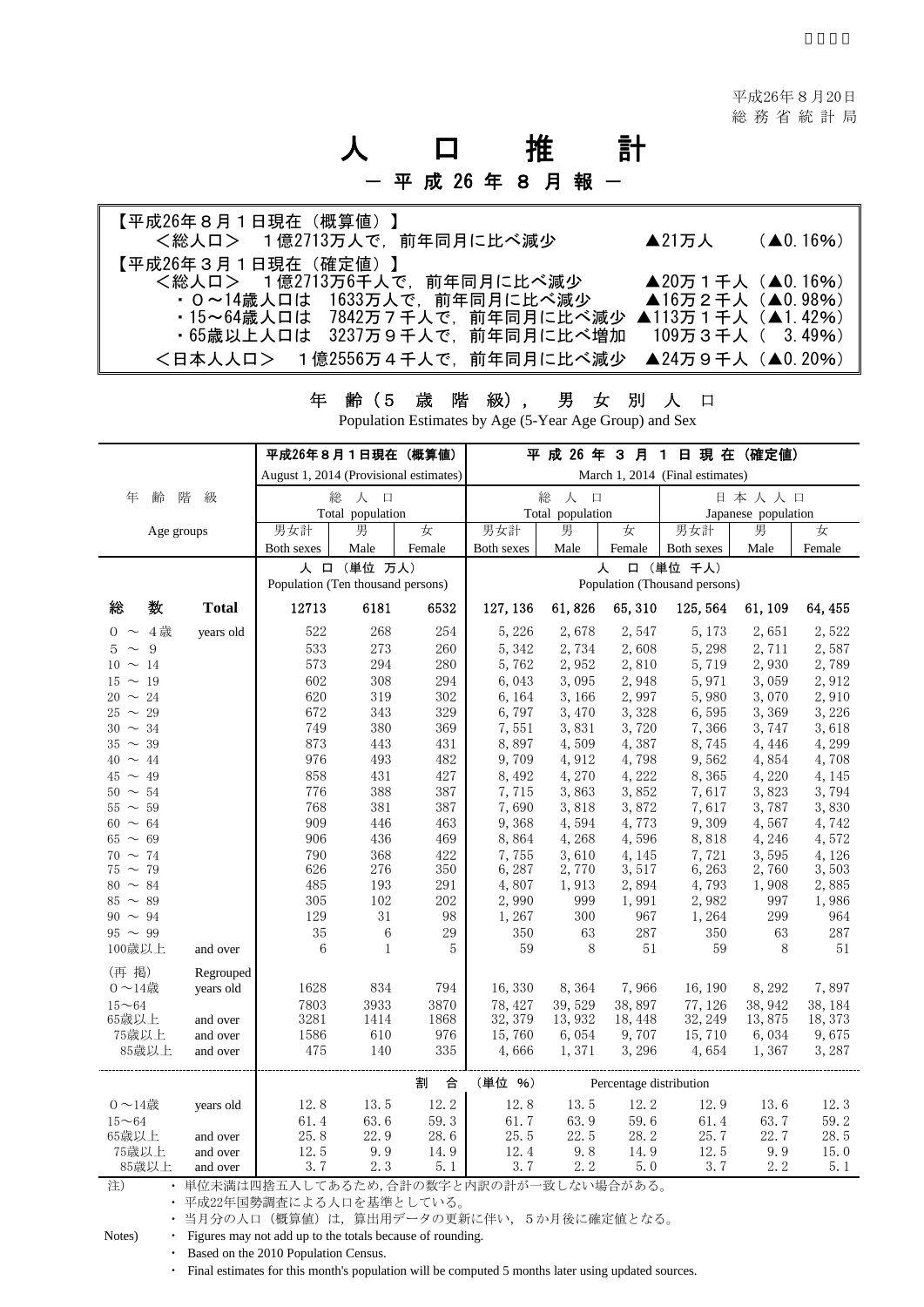# 人 口 推 計 - 平 成 26 年 8 月 報 -

| 【平成26年8月1日現在(概算値)】<br><総人ロ> 1億2713万人で、前年同月に比べ減少 | $\blacktriangle$ 21万人 | $(40.16\%)$ |
|-------------------------------------------------|-----------------------|-------------|
| 【平成26年3月1日現在(確定値)】                              |                       |             |
| <総人ロ> 1億2713万6千人で、前年同月に比べ減少                     | ▲20万1千人 (▲0.16%)      |             |
| ・0~14歳人口は 1633万人で、前年同月に比べ減少                     | ▲16万2千人 (▲0.98%)      |             |
| ・15~64歳人口は 7842万7千人で,前年同月に比べ減少                  | ▲113万 1 千人 (▲1.42%)   |             |
| ・65歳以上人口は 3237万9千人で,前年同月に比べ増加.                  | 109万3千人( 3.49%)       |             |
| <日本人人口> 1億2556万4千人で,前年同月に比べ減少 ▲24万9千人 (▲0.20%)  |                       |             |

年 齢(5 歳 階 級), 男 女 別 人 口

Population Estimates by Age (5-Year Age Group) and Sex

|                              |              | 平成26年8月1日現在(概算値)                                            |              |            |                                      |                |                         | 平 成 26 年 3 月 1 日 現 在 (確定値)    |                |                |
|------------------------------|--------------|-------------------------------------------------------------|--------------|------------|--------------------------------------|----------------|-------------------------|-------------------------------|----------------|----------------|
|                              |              | August 1, 2014 (Provisional estimates)                      |              |            | March 1, 2014 (Final estimates)      |                |                         |                               |                |                |
| 年<br>齢                       | 階<br>級       | 総<br>人<br>$\Box$<br>Total population                        |              |            | 総<br>人<br>$\Box$<br>Total population |                |                         | 日本人人口<br>Japanese population  |                |                |
| Age groups                   |              | 男女計                                                         | 男            | 女          | 男女計                                  | 男              | 女                       | 男女計                           | 男              | 女              |
|                              |              | Both sexes                                                  | Male         | Female     | Both sexes                           | Male           | Female                  | Both sexes                    | Male           | Female         |
|                              |              |                                                             | 人 口 (単位 万人)  |            |                                      |                | 人                       | 口 (単位 千人)                     |                |                |
|                              |              | Population (Ten thousand persons)                           |              |            |                                      |                |                         | Population (Thousand persons) |                |                |
| 数<br>総                       | <b>Total</b> | 12713                                                       | 6181         | 6532       | 127, 136                             | 61,826         | 65,310                  | 125, 564                      | 61, 109        | 64, 455        |
| $0 \sim 4$ 歳                 | years old    | 522                                                         | 268          | 254        | 5, 226                               | 2,678          | 2,547                   | 5, 173                        | 2,651          | 2,522          |
| $5 \sim 9$                   |              | 533                                                         | 273          | $260\,$    | 5, 342                               | 2,734          | 2,608                   | 5,298                         | 2,711          | 2,587          |
| $10 \sim 14$                 |              | 573                                                         | 294          | $280\,$    | 5,762                                | 2,952          | 2,810                   | 5,719                         | 2,930          | 2,789          |
| $15 \sim 19$                 |              | 602                                                         | 308          | 294        | 6,043                                | 3,095          | 2,948                   | 5,971                         | 3,059          | 2,912          |
| $20 \sim 24$                 |              | 620                                                         | 319          | 302        | 6, 164                               | 3, 166         | 2,997                   | 5,980                         | 3,070          | 2,910          |
| $25 \sim 29$                 |              | 672                                                         | 343          | $329\,$    | 6,797                                | 3,470          | 3,328                   | 6,595                         | 3,369          | 3,226          |
| $30 \sim 34$                 |              | 749                                                         | 380          | 369        | 7,551                                | 3,831          | 3,720                   | 7,366                         | 3,747          | 3,618          |
| $35 \sim 39$                 |              | 873                                                         | 443          | 431        | 8,897                                | 4,509          | 4,387                   | 8,745                         | 4,446          | 4,299          |
| $40 \sim 44$                 |              | 976                                                         | 493          | 482        | 9,709                                | 4,912          | 4,798                   | 9,562                         | 4,854          | 4,708          |
| $45 \sim 49$                 |              | 858                                                         | 431          | 427        | 8,492                                | 4,270          | 4,222                   | 8,365                         | 4,220          | 4,145          |
| $50 \sim 54$                 |              | 776                                                         | 388          | 387        | 7,715                                | 3,863          | 3,852                   | 7,617                         | 3,823          | 3,794          |
| $55 \sim 59$                 |              | 768                                                         | 381          | 387        | 7,690                                | 3,818          | 3,872                   | 7,617                         | 3,787          | 3,830          |
| $60 \sim 64$                 |              | 909                                                         | 446          | 463        | 9,368                                | 4,594          | 4,773                   | 9,309                         | 4,567          | 4,742          |
| $65 \sim 69$                 |              | 906                                                         | 436<br>368   | 469        | 8,864                                | 4,268          | 4,596                   | 8,818                         | 4,246          | 4,572          |
| $70 \sim 74$<br>$75 \sim 79$ |              | 790<br>626                                                  | 276          | 422<br>350 | 7,755<br>6, 287                      | 3,610<br>2,770 | 4,145<br>3,517          | 7,721<br>6,263                | 3,595<br>2,760 | 4,126<br>3,503 |
| $80 \sim 84$                 |              | 485                                                         | 193          | 291        | 4,807                                | 1,913          | 2,894                   | 4,793                         | 1,908          | 2,885          |
| $85 \sim 89$                 |              | 305                                                         | 102          | 202        | 2,990                                | 999            | 1,991                   | 2,982                         | 997            | 1,986          |
| $90 \sim 94$                 |              | 129                                                         | 31           | 98         | 1,267                                | 300            | 967                     | 1,264                         | 299            | 964            |
| $95 \sim 99$                 |              | 35                                                          | 6            | 29         | 350                                  | 63             | 287                     | 350                           | 63             | 287            |
| 100歳以上                       | and over     | $6\phantom{1}6$                                             | $\mathbf{1}$ | 5          | 59                                   | 8              | 51                      | 59                            | $8\,$          | 51             |
| (再 掲)                        | Regrouped    |                                                             |              |            |                                      |                |                         |                               |                |                |
| $0 \sim 14$ 歳                | years old    | 1628                                                        | 834          | 794        | 16,330                               | 8,364          | 7,966                   | 16, 190                       | 8,292          | 7,897          |
| $15 - 64$                    |              | 7803                                                        | 3933         | 3870       | 78, 427                              | 39,529         | 38,897                  | 77, 126                       | 38, 942        | 38, 184        |
| 65歳以上                        | and over     | 3281                                                        | 1414         | 1868       | 32, 379                              | 13,932         | 18, 448                 | 32, 249                       | 13,875         | 18, 373        |
| 75歳以上                        | and over     | 1586                                                        | 610          | 976        | 15,760                               | 6,054          | 9,707                   | 15,710                        | 6,034          | 9,675          |
| 85歳以上                        | and over     | 475                                                         | 140          | 335        | 4,666                                | 1,371          | 3, 296                  | 4,654                         | 1,367          | 3,287          |
|                              |              |                                                             |              | 合<br>割     | (単位 %)                               |                | Percentage distribution |                               |                |                |
| $0 \sim 14$ 歳                | years old    | 12.8                                                        | 13.5         | 12.2       | 12.8                                 | 13.5           | 12.2                    | 12.9                          | 13.6           | 12.3           |
| $15 - 64$                    |              | 61.4                                                        | 63.6         | 59.3       | 61.7                                 | 63.9           | 59.6                    | 61.4                          | 63.7           | 59.2           |
| 65歳以上                        | and over     | 25.8                                                        | 22.9         | 28.6       | 25.5                                 | 22.5           | 28.2                    | 25.7                          | 22.7           | 28.5           |
| 75歳以上                        | and over     | 12.5                                                        | 9.9          | 14.9       | 12.4                                 | 9.8            | 14.9                    | 12.5                          | 9.9            | 15.0           |
| 85歳以上                        | and over     | 3.7                                                         | 2.3          | 5.1        | 3.7                                  | 2.2            | 5.0                     | 3.7                           | 2.2            | 5.1            |
| 注)<br>$\bullet$              |              | 単位未満は四捨五入してあるため,合計の数字と内訳の計が一致しない場合がある。                      |              |            |                                      |                |                         |                               |                |                |
|                              |              | ・ 平成22年国勢調査による人口を基準としている。                                   |              |            |                                      |                |                         |                               |                |                |
|                              |              | • 当月分の人口(概算値)は、算出用データの更新に伴い、5か月後に確定値となる。                    |              |            |                                      |                |                         |                               |                |                |
| Notes)                       |              | • Figures may not add up to the totals because of rounding. |              |            |                                      |                |                         |                               |                |                |

・ Based on the 2010 Population Census.

・ Final estimates for this month's population will be computed 5 months later using updated sources.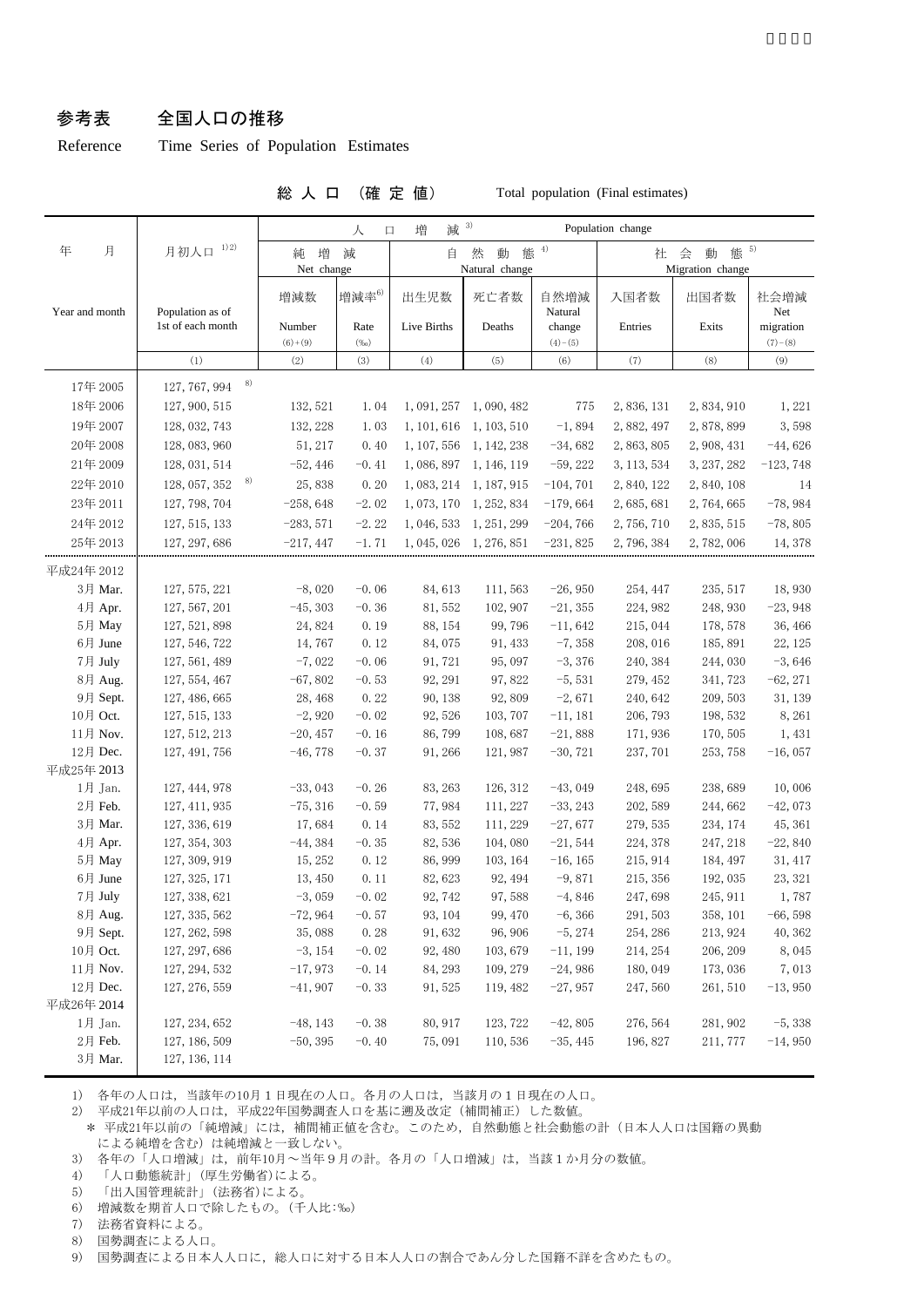#### 参考表 全国人口の推移

Reference Time Series of Population Estimates

総 人 口 (確 定 値) Total population (Final estimates)

|                     |                                |                     | 人               | 减 3)<br>増<br>口                                        |                         |                      | Population change    |                          |                        |
|---------------------|--------------------------------|---------------------|-----------------|-------------------------------------------------------|-------------------------|----------------------|----------------------|--------------------------|------------------------|
| 年<br>月              | 1) 2)<br>月初人口                  | 純 増<br>Net change   | 減               | 態 $4$<br>然<br>動<br>会<br>動<br>社<br>自<br>Natural change |                         |                      |                      | 態 5)<br>Migration change |                        |
| Year and month      | Population as of               | 増減数                 | 増減率6)           | 出生児数                                                  | 死亡者数                    | 自然増減<br>Natural      | 入国者数                 | 出国者数                     | 社会増減<br>Net            |
|                     | 1st of each month              | Number<br>$(6)+(9)$ | Rate<br>(%o)    | Live Births                                           | Deaths                  | change<br>$(4)-(5)$  | Entries              | Exits                    | migration<br>$(7)-(8)$ |
|                     | (1)                            | (2)                 | (3)             | (4)                                                   | (5)                     | (6)                  | (7)                  | (8)                      | (9)                    |
| 17年 2005            | 8)<br>127, 767, 994            |                     |                 |                                                       |                         |                      |                      |                          |                        |
| 18年 2006            | 127, 900, 515                  | 132, 521            | 1.04            |                                                       | 1, 091, 257 1, 090, 482 | 775                  | 2,836,131            | 2,834,910                | 1,221                  |
| 19年 2007            | 128, 032, 743                  | 132, 228            | 1.03            |                                                       | 1, 101, 616 1, 103, 510 | $-1,894$             | 2,882,497            | 2,878,899                | 3,598                  |
| 20年2008             | 128, 083, 960                  | 51, 217             | 0.40            |                                                       | 1, 107, 556 1, 142, 238 | $-34,682$            | 2, 863, 805          | 2, 908, 431              | $-44,626$              |
| 21年2009             | 128, 031, 514                  | $-52, 446$          | $-0.41$         |                                                       | 1, 086, 897 1, 146, 119 | $-59,222$            | 3, 113, 534          | 3, 237, 282              | $-123,748$             |
| 22年 2010            | 8)<br>128, 057, 352            | 25,838              | 0.20            |                                                       | 1, 083, 214 1, 187, 915 | $-104, 701$          | 2, 840, 122          | 2,840,108                | 14                     |
| 23年2011             | 127, 798, 704                  | $-258,648$          | $-2.02$         |                                                       | 1, 073, 170 1, 252, 834 | $-179,664$           | 2, 685, 681          | 2, 764, 665              | $-78,984$              |
| 24年2012             | 127, 515, 133                  | $-283,571$          | $-2.22$         |                                                       | 1, 046, 533 1, 251, 299 | $-204,766$           | 2,756,710            | 2, 835, 515              | $-78,805$              |
| 25年2013             | 127, 297, 686                  | $-217,447$          | $-1.71$         |                                                       | 1, 045, 026 1, 276, 851 | $-231,825$           | 2,796,384            | 2,782,006                | 14, 378                |
|                     |                                |                     |                 |                                                       |                         |                      |                      |                          |                        |
| 平成24年 2012          |                                |                     |                 |                                                       |                         |                      |                      |                          |                        |
| 3月 Mar.             | 127, 575, 221                  | $-8,020$            | $-0.06$         | 84,613                                                | 111,563                 | $-26,950$            | 254, 447             | 235, 517                 | 18,930                 |
| 4月 Apr.             | 127, 567, 201                  | $-45, 303$          | $-0.36$         | 81,552                                                | 102, 907                | $-21, 355$           | 224, 982             | 248, 930                 | $-23,948$              |
| 5月 May              | 127, 521, 898                  | 24,824              | 0.19            | 88, 154                                               | 99,796                  | $-11,642$            | 215, 044             | 178, 578                 | 36, 466                |
| 6月 June             | 127, 546, 722                  | 14,767              | 0.12            | 84,075                                                | 91, 433                 | $-7,358$             | 208, 016             | 185, 891                 | 22, 125                |
| 7月 July             | 127, 561, 489                  | $-7,022$            | $-0.06$         | 91, 721                                               | 95, 097                 | $-3,376$             | 240, 384             | 244,030                  | $-3,646$               |
| 8月 Aug.<br>9月 Sept. | 127, 554, 467<br>127, 486, 665 | $-67,802$           | $-0.53$<br>0.22 | 92, 291<br>90, 138                                    | 97,822<br>92,809        | $-5,531$<br>$-2,671$ | 279, 452<br>240, 642 | 341, 723<br>209, 503     | $-62, 271$<br>31, 139  |
| 10月 Oct.            |                                | 28, 468<br>$-2,920$ | $-0.02$         | 92, 526                                               | 103, 707                | $-11,181$            | 206, 793             | 198, 532                 |                        |
| 11月 Nov.            | 127, 515, 133<br>127, 512, 213 | $-20, 457$          | $-0.16$         | 86,799                                                | 108,687                 | $-21,888$            | 171,936              | 170, 505                 | 8,261<br>1,431         |
| 12月 Dec.            | 127, 491, 756                  | $-46,778$           | $-0.37$         | 91, 266                                               | 121, 987                | $-30, 721$           | 237, 701             | 253, 758                 | $-16,057$              |
| 平成25年 2013          |                                |                     |                 |                                                       |                         |                      |                      |                          |                        |
| 1月 Jan.             | 127, 444, 978                  | $-33,043$           | $-0.26$         | 83, 263                                               | 126, 312                | $-43,049$            | 248,695              | 238,689                  | 10,006                 |
| 2月 Feb.             | 127, 411, 935                  | $-75, 316$          | $-0.59$         | 77,984                                                | 111, 227                | $-33, 243$           | 202, 589             | 244,662                  | $-42,073$              |
| 3月 Mar.             | 127, 336, 619                  | 17,684              | 0.14            | 83, 552                                               | 111, 229                | $-27,677$            | 279, 535             | 234, 174                 | 45, 361                |
| 4月 Apr.             | 127, 354, 303                  | $-44,384$           | $-0.35$         | 82,536                                                | 104,080                 | $-21,544$            | 224, 378             | 247, 218                 | $-22,840$              |
| 5月 May              | 127, 309, 919                  | 15, 252             | 0.12            | 86, 999                                               | 103, 164                | $-16, 165$           | 215, 914             | 184, 497                 | 31, 417                |
| 6月 June             | 127, 325, 171                  | 13, 450             | 0.11            | 82,623                                                | 92, 494                 | $-9,871$             | 215, 356             | 192, 035                 | 23, 321                |
| 7月 July             | 127, 338, 621                  | $-3,059$            | $-0.02$         | 92, 742                                               | 97,588                  | $-4,846$             | 247,698              | 245, 911                 | 1,787                  |
| 8月 Aug.             | 127, 335, 562                  | $-72,964$           | $-0.57$         | 93, 104                                               | 99, 470                 | $-6, 366$            | 291,503              | 358, 101                 | $-66,598$              |
| 9月 Sept.            | 127, 262, 598                  | 35,088              | 0.28            | 91,632                                                | 96, 906                 | $-5, 274$            | 254, 286             | 213, 924                 | 40, 362                |
| 10月 Oct.            | 127, 297, 686                  | $-3, 154$           | $-0.02$         | 92, 480                                               | 103,679                 | $-11, 199$           | 214, 254             | 206, 209                 | 8,045                  |
| 11月 Nov.            | 127, 294, 532                  | $-17,973$           | $-0.14$         | 84, 293                                               | 109, 279                | $-24,986$            | 180,049              | 173,036                  | 7,013                  |
| 12月 Dec.            | 127, 276, 559                  | $-41,907$           | $-0.33$         | 91,525                                                | 119, 482                | $-27,957$            | 247,560              | 261, 510                 | $-13,950$              |
| 平成26年 2014          |                                |                     |                 |                                                       |                         |                      |                      |                          |                        |
| 1月 Jan.             | 127, 234, 652                  | $-48, 143$          | $-0.38$         | 80, 917                                               | 123, 722                | $-42,805$            | 276, 564             | 281, 902                 | $-5,338$               |
| 2月 Feb.             | 127, 186, 509                  | $-50, 395$          | $-0.40$         | 75,091                                                | 110,536                 | $-35, 445$           | 196, 827             | 211, 777                 | $-14,950$              |
| 3月 Mar.             | 127, 136, 114                  |                     |                 |                                                       |                         |                      |                      |                          |                        |

1) 各年の人口は,当該年の10月1日現在の人口。各月の人口は,当該月の1日現在の人口。

2) 平成21年以前の人口は,平成22年国勢調査人口を基に遡及改定(補間補正)した数値。

\* 平成21年以前の「純増減」には、補間補正値を含む。このため、自然動態と社会動態の計(日本人人口は国籍の異動 による純増を含む)は純増減と一致しない。

3) 各年の「人口増減」は,前年10月~当年9月の計。各月の「人口増減」は,当該1か月分の数値。

4) 「人口動態統計」(厚生労働省)による。

5) 「出入国管理統計」(法務省)による。

6) 増減数を期首人口で除したもの。(千人比:‰)

7) 法務省資料による。

8) 国勢調査による人口。

9) 国勢調査による日本人人口に,総人口に対する日本人人口の割合であん分した国籍不詳を含めたもの。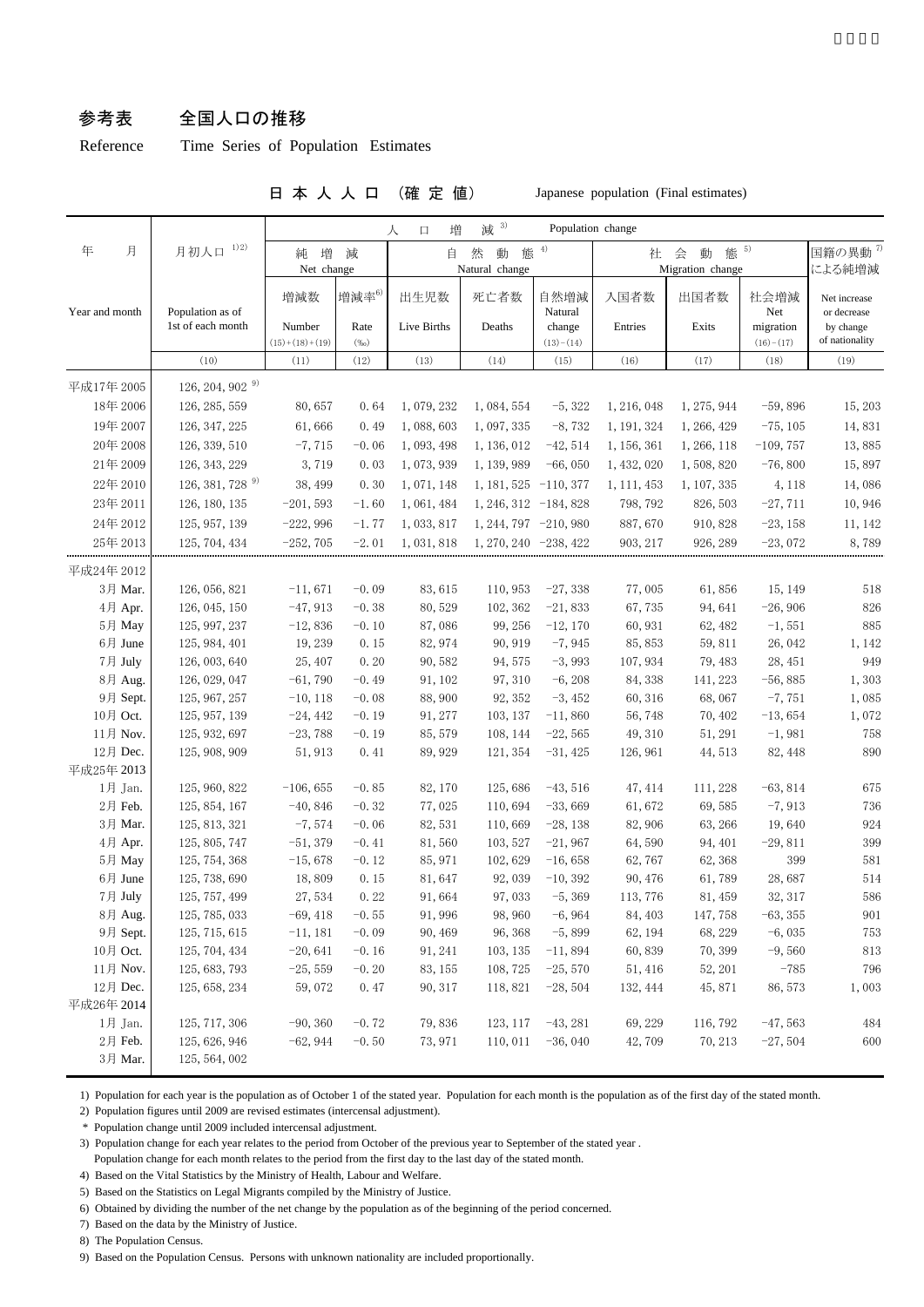### 参考表 全国人口の推移

Reference Time Series of Population Estimates

#### 日 本 人 人 口 (確 定 値) Japanese population (Final estimates)

| 月初人口 1)2)<br>態 $5$<br>年<br>月<br>4)<br>国籍の異動 <sup>7)</sup><br>態<br>増<br>然<br>動<br>社 会<br>動<br>減<br>自<br>純<br>Migration change<br>による純増減<br>Net change<br>Natural change<br>増減率6)<br>自然増減<br>入国者数<br>社会増減<br>増減数<br>出生児数<br>死亡者数<br>出国者数<br>Net increase<br>Population as of<br>Year and month<br>Natural<br>Net<br>or decrease<br>1st of each month<br>Live Births<br>Number<br>Deaths<br>Entries<br>Exits<br>migration<br>Rate<br>change<br>by change<br>of nationality<br>$(15)+(18)+(19)$<br>$(16)-(17)$<br>$(\%o)$<br>$(13)-(14)$<br>(10)<br>(11)<br>(12)<br>(13)<br>(14)<br>(15)<br>(16)<br>(17)<br>(18)<br>(19)<br>126, 204, 902 $9$<br>平成17年 2005<br>18年 2006<br>126, 285, 559<br>80,657<br>1,079,232<br>$-5,322$<br>1, 275, 944<br>$-59,896$<br>15, 203<br>0.64<br>1,084,554<br>1, 216, 048<br>19年 2007<br>$-8,732$<br>126, 347, 225<br>61,666<br>0.49<br>1,088,603<br>1, 191, 324<br>1, 266, 429<br>14,831<br>1, 097, 335<br>$-75, 105$<br>20年 2008<br>126, 339, 510<br>$-7,715$<br>$-42,514$<br>1, 266, 118<br>13,885<br>$-0.06$<br>1, 093, 498<br>1, 136, 012<br>1, 156, 361<br>$-109,757$<br>21年 2009<br>126, 343, 229<br>3,719<br>0.03<br>$-66,050$<br>1, 432, 020<br>1,508,820<br>$-76,800$<br>15,897<br>1,073,939<br>1, 139, 989<br>126, 381, 728 9)<br>22年 2010<br>38, 499<br>0.30<br>1,071,148<br>1, 107, 335<br>4,118<br>14,086<br>$1, 181, 525 -110, 377$<br>1, 111, 453<br>23年 2011<br>126, 180, 135<br>$-201,593$<br>$-1.60$<br>1,061,484<br>$1, 246, 312 -184, 828$<br>798, 792<br>826, 503<br>$-27,711$<br>10,946<br>24年 2012<br>125, 957, 139<br>$-222,996$<br>$-1.77$<br>1, 244, 797 -210, 980<br>887,670<br>$-23, 158$<br>1,033,817<br>910, 828<br>11, 142<br>25年 2013<br>$-252,705$<br>1, 270, 240 - 238, 422<br>$-23,072$<br>125, 704, 434<br>$-2.01$<br>1, 031, 818<br>903, 217<br>926, 289<br>8,789<br>平成24年 2012<br>3月 Mar.<br>126, 056, 821<br>$-11,671$<br>$-0.09$<br>83, 615<br>110,953<br>$-27,338$<br>77,005<br>61,856<br>15, 149<br>518<br>$-21,833$<br>826<br>4月 Apr.<br>126, 045, 150<br>$-47,913$<br>$-0.38$<br>80,529<br>102, 362<br>67,735<br>94,641<br>$-26,906$<br>885<br>5月 May<br>125, 997, 237<br>$-12,836$<br>$-0.10$<br>87,086<br>99, 256<br>$-12,170$<br>60, 931<br>62, 482<br>$-1,551$<br>6月 June<br>19, 239<br>0.15<br>82, 974<br>90, 919<br>$-7,945$<br>85, 853<br>26, 042<br>1,142<br>125, 984, 401<br>59,811<br>7月 July<br>949<br>25, 407<br>0.20<br>90,582<br>94, 575<br>$-3,993$<br>107, 934<br>126, 003, 640<br>79, 483<br>28, 451<br>8月 Aug.<br>$-6, 208$<br>126, 029, 047<br>$-61,790$<br>$-0.49$<br>91, 102<br>97, 310<br>84, 338<br>141, 223<br>$-56,885$<br>1,303<br>9月 Sept.<br>125, 967, 257<br>$-10, 118$<br>$-0.08$<br>88,900<br>92, 352<br>$-3,452$<br>60, 316<br>68,067<br>$-7,751$<br>1,085<br>10月 Oct.<br>125, 957, 139<br>$-24,442$<br>$-0.19$<br>91, 277<br>103, 137<br>$-11,860$<br>56,748<br>70, 402<br>$-13,654$<br>1,072<br>11月 Nov.<br>125, 932, 697<br>$-23,788$<br>$-0.19$<br>85, 579<br>$-22,565$<br>$-1,981$<br>758<br>108, 144<br>49, 310<br>51, 291<br>12月 Dec.<br>125, 908, 909<br>0.41<br>890<br>51, 913<br>89, 929<br>121, 354<br>$-31,425$<br>126, 961<br>44, 513<br>82, 448<br>平成25年 2013<br>1月 Jan.<br>125, 960, 822<br>$-106, 655$<br>$-0.85$<br>82, 170<br>125,686<br>$-43,516$<br>47, 414<br>$-63,814$<br>675<br>111, 228<br>77,025<br>$-33,669$<br>$-7,913$<br>2月 Feb.<br>125, 854, 167<br>$-40,846$<br>$-0.32$<br>110,694<br>61,672<br>69,585<br>736<br>3月 Mar.<br>125, 813, 321<br>$-7,574$<br>$-0.06$<br>82, 531<br>110,669<br>$-28,138$<br>82, 906<br>63, 266<br>19,640<br>924<br>399<br>4月 Apr.<br>125, 805, 747<br>$-51,379$<br>$-0.41$<br>81,560<br>103, 527<br>$-21,967$<br>64,590<br>94, 401<br>$-29,811$<br>$399\,$<br>5月 May<br>125, 754, 368<br>$-15,678$<br>$-0.12$<br>85, 971<br>102,629<br>$-16,658$<br>62,767<br>62,368<br>581<br>6月 June<br>125, 738, 690<br>0.15<br>81,647<br>$-10, 392$<br>61,789<br>28,687<br>514<br>18,809<br>92,039<br>90, 476<br>7月 July<br>125, 757, 499<br>0.22<br>32, 317<br>586<br>27,534<br>91,664<br>97,033<br>$-5, 369$<br>113, 776<br>81, 459<br>8月 Aug.<br>125, 785, 033<br>$-6,964$<br>147,758<br>$-63, 355$<br>901<br>$-69,418$<br>$-0.55$<br>91, 996<br>98, 960<br>84, 403<br>9月 Sept.<br>125, 715, 615<br>$-0.09$<br>90, 469<br>$-5,899$<br>62, 194<br>68, 229<br>$-6,035$<br>753<br>$-11,181$<br>96, 368<br>10月 Oct.<br>125, 704, 434<br>813<br>$-20,641$<br>$-0.16$<br>91, 241<br>103, 135<br>$-11,894$<br>60,839<br>70, 399<br>$-9,560$<br>11月 Nov.<br>$-785$<br>125, 683, 793<br>$-25,559$<br>$-0.20$<br>83, 155<br>108, 725<br>$-25,570$<br>51, 416<br>52, 201<br>796<br>12月 Dec.<br>125, 658, 234<br>59,072<br>0.47<br>90, 317<br>118,821<br>$-28,504$<br>132, 444<br>45, 871<br>86, 573<br>1,003<br>平成26年 2014<br>125, 717, 306<br>$-90, 360$<br>79,836<br>1月 Jan.<br>$-0.72$<br>123, 117<br>$-43, 281$<br>69, 229<br>116,792<br>$-47,563$<br>484<br>2月 Feb.<br>$-0.50$<br>125, 626, 946<br>$-62,944$<br>73, 971<br>110,011<br>$-36,040$<br>42,709<br>70, 213<br>$-27,504$<br>600 |         |               |  |  | 増<br>$\Box$<br>人 | 减 3) | Population change |  |  |  |  |
|-------------------------------------------------------------------------------------------------------------------------------------------------------------------------------------------------------------------------------------------------------------------------------------------------------------------------------------------------------------------------------------------------------------------------------------------------------------------------------------------------------------------------------------------------------------------------------------------------------------------------------------------------------------------------------------------------------------------------------------------------------------------------------------------------------------------------------------------------------------------------------------------------------------------------------------------------------------------------------------------------------------------------------------------------------------------------------------------------------------------------------------------------------------------------------------------------------------------------------------------------------------------------------------------------------------------------------------------------------------------------------------------------------------------------------------------------------------------------------------------------------------------------------------------------------------------------------------------------------------------------------------------------------------------------------------------------------------------------------------------------------------------------------------------------------------------------------------------------------------------------------------------------------------------------------------------------------------------------------------------------------------------------------------------------------------------------------------------------------------------------------------------------------------------------------------------------------------------------------------------------------------------------------------------------------------------------------------------------------------------------------------------------------------------------------------------------------------------------------------------------------------------------------------------------------------------------------------------------------------------------------------------------------------------------------------------------------------------------------------------------------------------------------------------------------------------------------------------------------------------------------------------------------------------------------------------------------------------------------------------------------------------------------------------------------------------------------------------------------------------------------------------------------------------------------------------------------------------------------------------------------------------------------------------------------------------------------------------------------------------------------------------------------------------------------------------------------------------------------------------------------------------------------------------------------------------------------------------------------------------------------------------------------------------------------------------------------------------------------------------------------------------------------------------------------------------------------------------------------------------------------------------------------------------------------------------------------------------------------------------------------------------------------------------------------------------------------------------------------------------------------------------------------------------------------------------------------------------------------------------------------------------------------------------------------------------------------------------------------------------------------------------------------------------------------------------------------------------------------------------------------------------------------------------------------------------------------------------------------------------------------------------------------------------------------------------------------------------------------------------------------------------------------------------------------------------------------------------------------------------------------------------------------------------------------------------------------------------------------------------------------------------------------------------|---------|---------------|--|--|------------------|------|-------------------|--|--|--|--|
|                                                                                                                                                                                                                                                                                                                                                                                                                                                                                                                                                                                                                                                                                                                                                                                                                                                                                                                                                                                                                                                                                                                                                                                                                                                                                                                                                                                                                                                                                                                                                                                                                                                                                                                                                                                                                                                                                                                                                                                                                                                                                                                                                                                                                                                                                                                                                                                                                                                                                                                                                                                                                                                                                                                                                                                                                                                                                                                                                                                                                                                                                                                                                                                                                                                                                                                                                                                                                                                                                                                                                                                                                                                                                                                                                                                                                                                                                                                                                                                                                                                                                                                                                                                                                                                                                                                                                                                                                                                                                                                                                                                                                                                                                                                                                                                                                                                                                                                                                                                                                                           |         |               |  |  |                  |      |                   |  |  |  |  |
|                                                                                                                                                                                                                                                                                                                                                                                                                                                                                                                                                                                                                                                                                                                                                                                                                                                                                                                                                                                                                                                                                                                                                                                                                                                                                                                                                                                                                                                                                                                                                                                                                                                                                                                                                                                                                                                                                                                                                                                                                                                                                                                                                                                                                                                                                                                                                                                                                                                                                                                                                                                                                                                                                                                                                                                                                                                                                                                                                                                                                                                                                                                                                                                                                                                                                                                                                                                                                                                                                                                                                                                                                                                                                                                                                                                                                                                                                                                                                                                                                                                                                                                                                                                                                                                                                                                                                                                                                                                                                                                                                                                                                                                                                                                                                                                                                                                                                                                                                                                                                                           |         |               |  |  |                  |      |                   |  |  |  |  |
|                                                                                                                                                                                                                                                                                                                                                                                                                                                                                                                                                                                                                                                                                                                                                                                                                                                                                                                                                                                                                                                                                                                                                                                                                                                                                                                                                                                                                                                                                                                                                                                                                                                                                                                                                                                                                                                                                                                                                                                                                                                                                                                                                                                                                                                                                                                                                                                                                                                                                                                                                                                                                                                                                                                                                                                                                                                                                                                                                                                                                                                                                                                                                                                                                                                                                                                                                                                                                                                                                                                                                                                                                                                                                                                                                                                                                                                                                                                                                                                                                                                                                                                                                                                                                                                                                                                                                                                                                                                                                                                                                                                                                                                                                                                                                                                                                                                                                                                                                                                                                                           |         |               |  |  |                  |      |                   |  |  |  |  |
|                                                                                                                                                                                                                                                                                                                                                                                                                                                                                                                                                                                                                                                                                                                                                                                                                                                                                                                                                                                                                                                                                                                                                                                                                                                                                                                                                                                                                                                                                                                                                                                                                                                                                                                                                                                                                                                                                                                                                                                                                                                                                                                                                                                                                                                                                                                                                                                                                                                                                                                                                                                                                                                                                                                                                                                                                                                                                                                                                                                                                                                                                                                                                                                                                                                                                                                                                                                                                                                                                                                                                                                                                                                                                                                                                                                                                                                                                                                                                                                                                                                                                                                                                                                                                                                                                                                                                                                                                                                                                                                                                                                                                                                                                                                                                                                                                                                                                                                                                                                                                                           |         |               |  |  |                  |      |                   |  |  |  |  |
|                                                                                                                                                                                                                                                                                                                                                                                                                                                                                                                                                                                                                                                                                                                                                                                                                                                                                                                                                                                                                                                                                                                                                                                                                                                                                                                                                                                                                                                                                                                                                                                                                                                                                                                                                                                                                                                                                                                                                                                                                                                                                                                                                                                                                                                                                                                                                                                                                                                                                                                                                                                                                                                                                                                                                                                                                                                                                                                                                                                                                                                                                                                                                                                                                                                                                                                                                                                                                                                                                                                                                                                                                                                                                                                                                                                                                                                                                                                                                                                                                                                                                                                                                                                                                                                                                                                                                                                                                                                                                                                                                                                                                                                                                                                                                                                                                                                                                                                                                                                                                                           |         |               |  |  |                  |      |                   |  |  |  |  |
|                                                                                                                                                                                                                                                                                                                                                                                                                                                                                                                                                                                                                                                                                                                                                                                                                                                                                                                                                                                                                                                                                                                                                                                                                                                                                                                                                                                                                                                                                                                                                                                                                                                                                                                                                                                                                                                                                                                                                                                                                                                                                                                                                                                                                                                                                                                                                                                                                                                                                                                                                                                                                                                                                                                                                                                                                                                                                                                                                                                                                                                                                                                                                                                                                                                                                                                                                                                                                                                                                                                                                                                                                                                                                                                                                                                                                                                                                                                                                                                                                                                                                                                                                                                                                                                                                                                                                                                                                                                                                                                                                                                                                                                                                                                                                                                                                                                                                                                                                                                                                                           |         |               |  |  |                  |      |                   |  |  |  |  |
|                                                                                                                                                                                                                                                                                                                                                                                                                                                                                                                                                                                                                                                                                                                                                                                                                                                                                                                                                                                                                                                                                                                                                                                                                                                                                                                                                                                                                                                                                                                                                                                                                                                                                                                                                                                                                                                                                                                                                                                                                                                                                                                                                                                                                                                                                                                                                                                                                                                                                                                                                                                                                                                                                                                                                                                                                                                                                                                                                                                                                                                                                                                                                                                                                                                                                                                                                                                                                                                                                                                                                                                                                                                                                                                                                                                                                                                                                                                                                                                                                                                                                                                                                                                                                                                                                                                                                                                                                                                                                                                                                                                                                                                                                                                                                                                                                                                                                                                                                                                                                                           |         |               |  |  |                  |      |                   |  |  |  |  |
|                                                                                                                                                                                                                                                                                                                                                                                                                                                                                                                                                                                                                                                                                                                                                                                                                                                                                                                                                                                                                                                                                                                                                                                                                                                                                                                                                                                                                                                                                                                                                                                                                                                                                                                                                                                                                                                                                                                                                                                                                                                                                                                                                                                                                                                                                                                                                                                                                                                                                                                                                                                                                                                                                                                                                                                                                                                                                                                                                                                                                                                                                                                                                                                                                                                                                                                                                                                                                                                                                                                                                                                                                                                                                                                                                                                                                                                                                                                                                                                                                                                                                                                                                                                                                                                                                                                                                                                                                                                                                                                                                                                                                                                                                                                                                                                                                                                                                                                                                                                                                                           |         |               |  |  |                  |      |                   |  |  |  |  |
|                                                                                                                                                                                                                                                                                                                                                                                                                                                                                                                                                                                                                                                                                                                                                                                                                                                                                                                                                                                                                                                                                                                                                                                                                                                                                                                                                                                                                                                                                                                                                                                                                                                                                                                                                                                                                                                                                                                                                                                                                                                                                                                                                                                                                                                                                                                                                                                                                                                                                                                                                                                                                                                                                                                                                                                                                                                                                                                                                                                                                                                                                                                                                                                                                                                                                                                                                                                                                                                                                                                                                                                                                                                                                                                                                                                                                                                                                                                                                                                                                                                                                                                                                                                                                                                                                                                                                                                                                                                                                                                                                                                                                                                                                                                                                                                                                                                                                                                                                                                                                                           |         |               |  |  |                  |      |                   |  |  |  |  |
|                                                                                                                                                                                                                                                                                                                                                                                                                                                                                                                                                                                                                                                                                                                                                                                                                                                                                                                                                                                                                                                                                                                                                                                                                                                                                                                                                                                                                                                                                                                                                                                                                                                                                                                                                                                                                                                                                                                                                                                                                                                                                                                                                                                                                                                                                                                                                                                                                                                                                                                                                                                                                                                                                                                                                                                                                                                                                                                                                                                                                                                                                                                                                                                                                                                                                                                                                                                                                                                                                                                                                                                                                                                                                                                                                                                                                                                                                                                                                                                                                                                                                                                                                                                                                                                                                                                                                                                                                                                                                                                                                                                                                                                                                                                                                                                                                                                                                                                                                                                                                                           |         |               |  |  |                  |      |                   |  |  |  |  |
|                                                                                                                                                                                                                                                                                                                                                                                                                                                                                                                                                                                                                                                                                                                                                                                                                                                                                                                                                                                                                                                                                                                                                                                                                                                                                                                                                                                                                                                                                                                                                                                                                                                                                                                                                                                                                                                                                                                                                                                                                                                                                                                                                                                                                                                                                                                                                                                                                                                                                                                                                                                                                                                                                                                                                                                                                                                                                                                                                                                                                                                                                                                                                                                                                                                                                                                                                                                                                                                                                                                                                                                                                                                                                                                                                                                                                                                                                                                                                                                                                                                                                                                                                                                                                                                                                                                                                                                                                                                                                                                                                                                                                                                                                                                                                                                                                                                                                                                                                                                                                                           |         |               |  |  |                  |      |                   |  |  |  |  |
|                                                                                                                                                                                                                                                                                                                                                                                                                                                                                                                                                                                                                                                                                                                                                                                                                                                                                                                                                                                                                                                                                                                                                                                                                                                                                                                                                                                                                                                                                                                                                                                                                                                                                                                                                                                                                                                                                                                                                                                                                                                                                                                                                                                                                                                                                                                                                                                                                                                                                                                                                                                                                                                                                                                                                                                                                                                                                                                                                                                                                                                                                                                                                                                                                                                                                                                                                                                                                                                                                                                                                                                                                                                                                                                                                                                                                                                                                                                                                                                                                                                                                                                                                                                                                                                                                                                                                                                                                                                                                                                                                                                                                                                                                                                                                                                                                                                                                                                                                                                                                                           |         |               |  |  |                  |      |                   |  |  |  |  |
|                                                                                                                                                                                                                                                                                                                                                                                                                                                                                                                                                                                                                                                                                                                                                                                                                                                                                                                                                                                                                                                                                                                                                                                                                                                                                                                                                                                                                                                                                                                                                                                                                                                                                                                                                                                                                                                                                                                                                                                                                                                                                                                                                                                                                                                                                                                                                                                                                                                                                                                                                                                                                                                                                                                                                                                                                                                                                                                                                                                                                                                                                                                                                                                                                                                                                                                                                                                                                                                                                                                                                                                                                                                                                                                                                                                                                                                                                                                                                                                                                                                                                                                                                                                                                                                                                                                                                                                                                                                                                                                                                                                                                                                                                                                                                                                                                                                                                                                                                                                                                                           |         |               |  |  |                  |      |                   |  |  |  |  |
|                                                                                                                                                                                                                                                                                                                                                                                                                                                                                                                                                                                                                                                                                                                                                                                                                                                                                                                                                                                                                                                                                                                                                                                                                                                                                                                                                                                                                                                                                                                                                                                                                                                                                                                                                                                                                                                                                                                                                                                                                                                                                                                                                                                                                                                                                                                                                                                                                                                                                                                                                                                                                                                                                                                                                                                                                                                                                                                                                                                                                                                                                                                                                                                                                                                                                                                                                                                                                                                                                                                                                                                                                                                                                                                                                                                                                                                                                                                                                                                                                                                                                                                                                                                                                                                                                                                                                                                                                                                                                                                                                                                                                                                                                                                                                                                                                                                                                                                                                                                                                                           |         |               |  |  |                  |      |                   |  |  |  |  |
|                                                                                                                                                                                                                                                                                                                                                                                                                                                                                                                                                                                                                                                                                                                                                                                                                                                                                                                                                                                                                                                                                                                                                                                                                                                                                                                                                                                                                                                                                                                                                                                                                                                                                                                                                                                                                                                                                                                                                                                                                                                                                                                                                                                                                                                                                                                                                                                                                                                                                                                                                                                                                                                                                                                                                                                                                                                                                                                                                                                                                                                                                                                                                                                                                                                                                                                                                                                                                                                                                                                                                                                                                                                                                                                                                                                                                                                                                                                                                                                                                                                                                                                                                                                                                                                                                                                                                                                                                                                                                                                                                                                                                                                                                                                                                                                                                                                                                                                                                                                                                                           |         |               |  |  |                  |      |                   |  |  |  |  |
|                                                                                                                                                                                                                                                                                                                                                                                                                                                                                                                                                                                                                                                                                                                                                                                                                                                                                                                                                                                                                                                                                                                                                                                                                                                                                                                                                                                                                                                                                                                                                                                                                                                                                                                                                                                                                                                                                                                                                                                                                                                                                                                                                                                                                                                                                                                                                                                                                                                                                                                                                                                                                                                                                                                                                                                                                                                                                                                                                                                                                                                                                                                                                                                                                                                                                                                                                                                                                                                                                                                                                                                                                                                                                                                                                                                                                                                                                                                                                                                                                                                                                                                                                                                                                                                                                                                                                                                                                                                                                                                                                                                                                                                                                                                                                                                                                                                                                                                                                                                                                                           |         |               |  |  |                  |      |                   |  |  |  |  |
|                                                                                                                                                                                                                                                                                                                                                                                                                                                                                                                                                                                                                                                                                                                                                                                                                                                                                                                                                                                                                                                                                                                                                                                                                                                                                                                                                                                                                                                                                                                                                                                                                                                                                                                                                                                                                                                                                                                                                                                                                                                                                                                                                                                                                                                                                                                                                                                                                                                                                                                                                                                                                                                                                                                                                                                                                                                                                                                                                                                                                                                                                                                                                                                                                                                                                                                                                                                                                                                                                                                                                                                                                                                                                                                                                                                                                                                                                                                                                                                                                                                                                                                                                                                                                                                                                                                                                                                                                                                                                                                                                                                                                                                                                                                                                                                                                                                                                                                                                                                                                                           |         |               |  |  |                  |      |                   |  |  |  |  |
|                                                                                                                                                                                                                                                                                                                                                                                                                                                                                                                                                                                                                                                                                                                                                                                                                                                                                                                                                                                                                                                                                                                                                                                                                                                                                                                                                                                                                                                                                                                                                                                                                                                                                                                                                                                                                                                                                                                                                                                                                                                                                                                                                                                                                                                                                                                                                                                                                                                                                                                                                                                                                                                                                                                                                                                                                                                                                                                                                                                                                                                                                                                                                                                                                                                                                                                                                                                                                                                                                                                                                                                                                                                                                                                                                                                                                                                                                                                                                                                                                                                                                                                                                                                                                                                                                                                                                                                                                                                                                                                                                                                                                                                                                                                                                                                                                                                                                                                                                                                                                                           |         |               |  |  |                  |      |                   |  |  |  |  |
|                                                                                                                                                                                                                                                                                                                                                                                                                                                                                                                                                                                                                                                                                                                                                                                                                                                                                                                                                                                                                                                                                                                                                                                                                                                                                                                                                                                                                                                                                                                                                                                                                                                                                                                                                                                                                                                                                                                                                                                                                                                                                                                                                                                                                                                                                                                                                                                                                                                                                                                                                                                                                                                                                                                                                                                                                                                                                                                                                                                                                                                                                                                                                                                                                                                                                                                                                                                                                                                                                                                                                                                                                                                                                                                                                                                                                                                                                                                                                                                                                                                                                                                                                                                                                                                                                                                                                                                                                                                                                                                                                                                                                                                                                                                                                                                                                                                                                                                                                                                                                                           |         |               |  |  |                  |      |                   |  |  |  |  |
|                                                                                                                                                                                                                                                                                                                                                                                                                                                                                                                                                                                                                                                                                                                                                                                                                                                                                                                                                                                                                                                                                                                                                                                                                                                                                                                                                                                                                                                                                                                                                                                                                                                                                                                                                                                                                                                                                                                                                                                                                                                                                                                                                                                                                                                                                                                                                                                                                                                                                                                                                                                                                                                                                                                                                                                                                                                                                                                                                                                                                                                                                                                                                                                                                                                                                                                                                                                                                                                                                                                                                                                                                                                                                                                                                                                                                                                                                                                                                                                                                                                                                                                                                                                                                                                                                                                                                                                                                                                                                                                                                                                                                                                                                                                                                                                                                                                                                                                                                                                                                                           |         |               |  |  |                  |      |                   |  |  |  |  |
|                                                                                                                                                                                                                                                                                                                                                                                                                                                                                                                                                                                                                                                                                                                                                                                                                                                                                                                                                                                                                                                                                                                                                                                                                                                                                                                                                                                                                                                                                                                                                                                                                                                                                                                                                                                                                                                                                                                                                                                                                                                                                                                                                                                                                                                                                                                                                                                                                                                                                                                                                                                                                                                                                                                                                                                                                                                                                                                                                                                                                                                                                                                                                                                                                                                                                                                                                                                                                                                                                                                                                                                                                                                                                                                                                                                                                                                                                                                                                                                                                                                                                                                                                                                                                                                                                                                                                                                                                                                                                                                                                                                                                                                                                                                                                                                                                                                                                                                                                                                                                                           |         |               |  |  |                  |      |                   |  |  |  |  |
|                                                                                                                                                                                                                                                                                                                                                                                                                                                                                                                                                                                                                                                                                                                                                                                                                                                                                                                                                                                                                                                                                                                                                                                                                                                                                                                                                                                                                                                                                                                                                                                                                                                                                                                                                                                                                                                                                                                                                                                                                                                                                                                                                                                                                                                                                                                                                                                                                                                                                                                                                                                                                                                                                                                                                                                                                                                                                                                                                                                                                                                                                                                                                                                                                                                                                                                                                                                                                                                                                                                                                                                                                                                                                                                                                                                                                                                                                                                                                                                                                                                                                                                                                                                                                                                                                                                                                                                                                                                                                                                                                                                                                                                                                                                                                                                                                                                                                                                                                                                                                                           |         |               |  |  |                  |      |                   |  |  |  |  |
|                                                                                                                                                                                                                                                                                                                                                                                                                                                                                                                                                                                                                                                                                                                                                                                                                                                                                                                                                                                                                                                                                                                                                                                                                                                                                                                                                                                                                                                                                                                                                                                                                                                                                                                                                                                                                                                                                                                                                                                                                                                                                                                                                                                                                                                                                                                                                                                                                                                                                                                                                                                                                                                                                                                                                                                                                                                                                                                                                                                                                                                                                                                                                                                                                                                                                                                                                                                                                                                                                                                                                                                                                                                                                                                                                                                                                                                                                                                                                                                                                                                                                                                                                                                                                                                                                                                                                                                                                                                                                                                                                                                                                                                                                                                                                                                                                                                                                                                                                                                                                                           |         |               |  |  |                  |      |                   |  |  |  |  |
|                                                                                                                                                                                                                                                                                                                                                                                                                                                                                                                                                                                                                                                                                                                                                                                                                                                                                                                                                                                                                                                                                                                                                                                                                                                                                                                                                                                                                                                                                                                                                                                                                                                                                                                                                                                                                                                                                                                                                                                                                                                                                                                                                                                                                                                                                                                                                                                                                                                                                                                                                                                                                                                                                                                                                                                                                                                                                                                                                                                                                                                                                                                                                                                                                                                                                                                                                                                                                                                                                                                                                                                                                                                                                                                                                                                                                                                                                                                                                                                                                                                                                                                                                                                                                                                                                                                                                                                                                                                                                                                                                                                                                                                                                                                                                                                                                                                                                                                                                                                                                                           |         |               |  |  |                  |      |                   |  |  |  |  |
|                                                                                                                                                                                                                                                                                                                                                                                                                                                                                                                                                                                                                                                                                                                                                                                                                                                                                                                                                                                                                                                                                                                                                                                                                                                                                                                                                                                                                                                                                                                                                                                                                                                                                                                                                                                                                                                                                                                                                                                                                                                                                                                                                                                                                                                                                                                                                                                                                                                                                                                                                                                                                                                                                                                                                                                                                                                                                                                                                                                                                                                                                                                                                                                                                                                                                                                                                                                                                                                                                                                                                                                                                                                                                                                                                                                                                                                                                                                                                                                                                                                                                                                                                                                                                                                                                                                                                                                                                                                                                                                                                                                                                                                                                                                                                                                                                                                                                                                                                                                                                                           |         |               |  |  |                  |      |                   |  |  |  |  |
|                                                                                                                                                                                                                                                                                                                                                                                                                                                                                                                                                                                                                                                                                                                                                                                                                                                                                                                                                                                                                                                                                                                                                                                                                                                                                                                                                                                                                                                                                                                                                                                                                                                                                                                                                                                                                                                                                                                                                                                                                                                                                                                                                                                                                                                                                                                                                                                                                                                                                                                                                                                                                                                                                                                                                                                                                                                                                                                                                                                                                                                                                                                                                                                                                                                                                                                                                                                                                                                                                                                                                                                                                                                                                                                                                                                                                                                                                                                                                                                                                                                                                                                                                                                                                                                                                                                                                                                                                                                                                                                                                                                                                                                                                                                                                                                                                                                                                                                                                                                                                                           |         |               |  |  |                  |      |                   |  |  |  |  |
|                                                                                                                                                                                                                                                                                                                                                                                                                                                                                                                                                                                                                                                                                                                                                                                                                                                                                                                                                                                                                                                                                                                                                                                                                                                                                                                                                                                                                                                                                                                                                                                                                                                                                                                                                                                                                                                                                                                                                                                                                                                                                                                                                                                                                                                                                                                                                                                                                                                                                                                                                                                                                                                                                                                                                                                                                                                                                                                                                                                                                                                                                                                                                                                                                                                                                                                                                                                                                                                                                                                                                                                                                                                                                                                                                                                                                                                                                                                                                                                                                                                                                                                                                                                                                                                                                                                                                                                                                                                                                                                                                                                                                                                                                                                                                                                                                                                                                                                                                                                                                                           |         |               |  |  |                  |      |                   |  |  |  |  |
|                                                                                                                                                                                                                                                                                                                                                                                                                                                                                                                                                                                                                                                                                                                                                                                                                                                                                                                                                                                                                                                                                                                                                                                                                                                                                                                                                                                                                                                                                                                                                                                                                                                                                                                                                                                                                                                                                                                                                                                                                                                                                                                                                                                                                                                                                                                                                                                                                                                                                                                                                                                                                                                                                                                                                                                                                                                                                                                                                                                                                                                                                                                                                                                                                                                                                                                                                                                                                                                                                                                                                                                                                                                                                                                                                                                                                                                                                                                                                                                                                                                                                                                                                                                                                                                                                                                                                                                                                                                                                                                                                                                                                                                                                                                                                                                                                                                                                                                                                                                                                                           |         |               |  |  |                  |      |                   |  |  |  |  |
|                                                                                                                                                                                                                                                                                                                                                                                                                                                                                                                                                                                                                                                                                                                                                                                                                                                                                                                                                                                                                                                                                                                                                                                                                                                                                                                                                                                                                                                                                                                                                                                                                                                                                                                                                                                                                                                                                                                                                                                                                                                                                                                                                                                                                                                                                                                                                                                                                                                                                                                                                                                                                                                                                                                                                                                                                                                                                                                                                                                                                                                                                                                                                                                                                                                                                                                                                                                                                                                                                                                                                                                                                                                                                                                                                                                                                                                                                                                                                                                                                                                                                                                                                                                                                                                                                                                                                                                                                                                                                                                                                                                                                                                                                                                                                                                                                                                                                                                                                                                                                                           |         |               |  |  |                  |      |                   |  |  |  |  |
|                                                                                                                                                                                                                                                                                                                                                                                                                                                                                                                                                                                                                                                                                                                                                                                                                                                                                                                                                                                                                                                                                                                                                                                                                                                                                                                                                                                                                                                                                                                                                                                                                                                                                                                                                                                                                                                                                                                                                                                                                                                                                                                                                                                                                                                                                                                                                                                                                                                                                                                                                                                                                                                                                                                                                                                                                                                                                                                                                                                                                                                                                                                                                                                                                                                                                                                                                                                                                                                                                                                                                                                                                                                                                                                                                                                                                                                                                                                                                                                                                                                                                                                                                                                                                                                                                                                                                                                                                                                                                                                                                                                                                                                                                                                                                                                                                                                                                                                                                                                                                                           |         |               |  |  |                  |      |                   |  |  |  |  |
|                                                                                                                                                                                                                                                                                                                                                                                                                                                                                                                                                                                                                                                                                                                                                                                                                                                                                                                                                                                                                                                                                                                                                                                                                                                                                                                                                                                                                                                                                                                                                                                                                                                                                                                                                                                                                                                                                                                                                                                                                                                                                                                                                                                                                                                                                                                                                                                                                                                                                                                                                                                                                                                                                                                                                                                                                                                                                                                                                                                                                                                                                                                                                                                                                                                                                                                                                                                                                                                                                                                                                                                                                                                                                                                                                                                                                                                                                                                                                                                                                                                                                                                                                                                                                                                                                                                                                                                                                                                                                                                                                                                                                                                                                                                                                                                                                                                                                                                                                                                                                                           |         |               |  |  |                  |      |                   |  |  |  |  |
|                                                                                                                                                                                                                                                                                                                                                                                                                                                                                                                                                                                                                                                                                                                                                                                                                                                                                                                                                                                                                                                                                                                                                                                                                                                                                                                                                                                                                                                                                                                                                                                                                                                                                                                                                                                                                                                                                                                                                                                                                                                                                                                                                                                                                                                                                                                                                                                                                                                                                                                                                                                                                                                                                                                                                                                                                                                                                                                                                                                                                                                                                                                                                                                                                                                                                                                                                                                                                                                                                                                                                                                                                                                                                                                                                                                                                                                                                                                                                                                                                                                                                                                                                                                                                                                                                                                                                                                                                                                                                                                                                                                                                                                                                                                                                                                                                                                                                                                                                                                                                                           |         |               |  |  |                  |      |                   |  |  |  |  |
|                                                                                                                                                                                                                                                                                                                                                                                                                                                                                                                                                                                                                                                                                                                                                                                                                                                                                                                                                                                                                                                                                                                                                                                                                                                                                                                                                                                                                                                                                                                                                                                                                                                                                                                                                                                                                                                                                                                                                                                                                                                                                                                                                                                                                                                                                                                                                                                                                                                                                                                                                                                                                                                                                                                                                                                                                                                                                                                                                                                                                                                                                                                                                                                                                                                                                                                                                                                                                                                                                                                                                                                                                                                                                                                                                                                                                                                                                                                                                                                                                                                                                                                                                                                                                                                                                                                                                                                                                                                                                                                                                                                                                                                                                                                                                                                                                                                                                                                                                                                                                                           |         |               |  |  |                  |      |                   |  |  |  |  |
|                                                                                                                                                                                                                                                                                                                                                                                                                                                                                                                                                                                                                                                                                                                                                                                                                                                                                                                                                                                                                                                                                                                                                                                                                                                                                                                                                                                                                                                                                                                                                                                                                                                                                                                                                                                                                                                                                                                                                                                                                                                                                                                                                                                                                                                                                                                                                                                                                                                                                                                                                                                                                                                                                                                                                                                                                                                                                                                                                                                                                                                                                                                                                                                                                                                                                                                                                                                                                                                                                                                                                                                                                                                                                                                                                                                                                                                                                                                                                                                                                                                                                                                                                                                                                                                                                                                                                                                                                                                                                                                                                                                                                                                                                                                                                                                                                                                                                                                                                                                                                                           |         |               |  |  |                  |      |                   |  |  |  |  |
|                                                                                                                                                                                                                                                                                                                                                                                                                                                                                                                                                                                                                                                                                                                                                                                                                                                                                                                                                                                                                                                                                                                                                                                                                                                                                                                                                                                                                                                                                                                                                                                                                                                                                                                                                                                                                                                                                                                                                                                                                                                                                                                                                                                                                                                                                                                                                                                                                                                                                                                                                                                                                                                                                                                                                                                                                                                                                                                                                                                                                                                                                                                                                                                                                                                                                                                                                                                                                                                                                                                                                                                                                                                                                                                                                                                                                                                                                                                                                                                                                                                                                                                                                                                                                                                                                                                                                                                                                                                                                                                                                                                                                                                                                                                                                                                                                                                                                                                                                                                                                                           |         |               |  |  |                  |      |                   |  |  |  |  |
|                                                                                                                                                                                                                                                                                                                                                                                                                                                                                                                                                                                                                                                                                                                                                                                                                                                                                                                                                                                                                                                                                                                                                                                                                                                                                                                                                                                                                                                                                                                                                                                                                                                                                                                                                                                                                                                                                                                                                                                                                                                                                                                                                                                                                                                                                                                                                                                                                                                                                                                                                                                                                                                                                                                                                                                                                                                                                                                                                                                                                                                                                                                                                                                                                                                                                                                                                                                                                                                                                                                                                                                                                                                                                                                                                                                                                                                                                                                                                                                                                                                                                                                                                                                                                                                                                                                                                                                                                                                                                                                                                                                                                                                                                                                                                                                                                                                                                                                                                                                                                                           |         |               |  |  |                  |      |                   |  |  |  |  |
|                                                                                                                                                                                                                                                                                                                                                                                                                                                                                                                                                                                                                                                                                                                                                                                                                                                                                                                                                                                                                                                                                                                                                                                                                                                                                                                                                                                                                                                                                                                                                                                                                                                                                                                                                                                                                                                                                                                                                                                                                                                                                                                                                                                                                                                                                                                                                                                                                                                                                                                                                                                                                                                                                                                                                                                                                                                                                                                                                                                                                                                                                                                                                                                                                                                                                                                                                                                                                                                                                                                                                                                                                                                                                                                                                                                                                                                                                                                                                                                                                                                                                                                                                                                                                                                                                                                                                                                                                                                                                                                                                                                                                                                                                                                                                                                                                                                                                                                                                                                                                                           |         |               |  |  |                  |      |                   |  |  |  |  |
|                                                                                                                                                                                                                                                                                                                                                                                                                                                                                                                                                                                                                                                                                                                                                                                                                                                                                                                                                                                                                                                                                                                                                                                                                                                                                                                                                                                                                                                                                                                                                                                                                                                                                                                                                                                                                                                                                                                                                                                                                                                                                                                                                                                                                                                                                                                                                                                                                                                                                                                                                                                                                                                                                                                                                                                                                                                                                                                                                                                                                                                                                                                                                                                                                                                                                                                                                                                                                                                                                                                                                                                                                                                                                                                                                                                                                                                                                                                                                                                                                                                                                                                                                                                                                                                                                                                                                                                                                                                                                                                                                                                                                                                                                                                                                                                                                                                                                                                                                                                                                                           |         |               |  |  |                  |      |                   |  |  |  |  |
|                                                                                                                                                                                                                                                                                                                                                                                                                                                                                                                                                                                                                                                                                                                                                                                                                                                                                                                                                                                                                                                                                                                                                                                                                                                                                                                                                                                                                                                                                                                                                                                                                                                                                                                                                                                                                                                                                                                                                                                                                                                                                                                                                                                                                                                                                                                                                                                                                                                                                                                                                                                                                                                                                                                                                                                                                                                                                                                                                                                                                                                                                                                                                                                                                                                                                                                                                                                                                                                                                                                                                                                                                                                                                                                                                                                                                                                                                                                                                                                                                                                                                                                                                                                                                                                                                                                                                                                                                                                                                                                                                                                                                                                                                                                                                                                                                                                                                                                                                                                                                                           |         |               |  |  |                  |      |                   |  |  |  |  |
|                                                                                                                                                                                                                                                                                                                                                                                                                                                                                                                                                                                                                                                                                                                                                                                                                                                                                                                                                                                                                                                                                                                                                                                                                                                                                                                                                                                                                                                                                                                                                                                                                                                                                                                                                                                                                                                                                                                                                                                                                                                                                                                                                                                                                                                                                                                                                                                                                                                                                                                                                                                                                                                                                                                                                                                                                                                                                                                                                                                                                                                                                                                                                                                                                                                                                                                                                                                                                                                                                                                                                                                                                                                                                                                                                                                                                                                                                                                                                                                                                                                                                                                                                                                                                                                                                                                                                                                                                                                                                                                                                                                                                                                                                                                                                                                                                                                                                                                                                                                                                                           | 3月 Mar. | 125, 564, 002 |  |  |                  |      |                   |  |  |  |  |

1) Population for each year is the population as of October 1 of the stated year. Population for each month is the population as of the first day of the stated month.

2) Population figures until 2009 are revised estimates (intercensal adjustment).

\* Population change until 2009 included intercensal adjustment.

 3) Population change for each year relates to the period from October of the previous year to September of the stated year . Population change for each month relates to the period from the first day to the last day of the stated month.

4) Based on the Vital Statistics by the Ministry of Health, Labour and Welfare.

5) Based on the Statistics on Legal Migrants compiled by the Ministry of Justice.

6) Obtained by dividing the number of the net change by the population as of the beginning of the period concerned.

7) Based on the data by the Ministry of Justice.

8) The Population Census.

9) Based on the Population Census. Persons with unknown nationality are included proportionally.